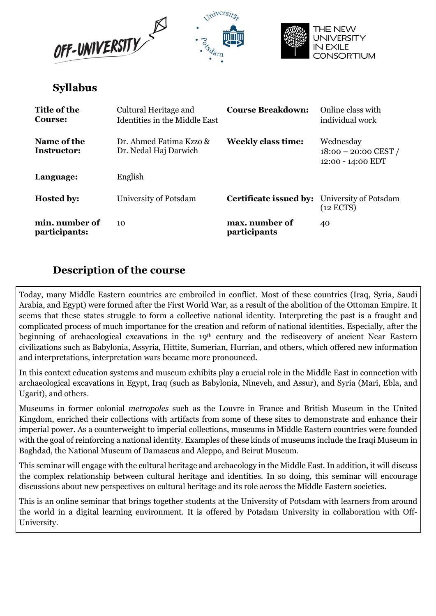





# Syllabus

| Title of the<br><b>Course:</b>  | Cultural Heritage and<br>Identities in the Middle East | <b>Course Breakdown:</b>                            | Online class with<br>individual work                     |
|---------------------------------|--------------------------------------------------------|-----------------------------------------------------|----------------------------------------------------------|
| Name of the<br>Instructor:      | Dr. Ahmed Fatima Kzzo &<br>Dr. Nedal Haj Darwich       | <b>Weekly class time:</b>                           | Wednesday<br>$18:00 - 20:00$ CEST /<br>12:00 - 14:00 EDT |
| Language:                       | English                                                |                                                     |                                                          |
| <b>Hosted by:</b>               | University of Potsdam                                  | <b>Certificate issued by:</b> University of Potsdam | $(12$ ECTS)                                              |
| min. number of<br>participants: | 10                                                     | max. number of<br><i>participants</i>               | 40                                                       |

# Description of the course

Today, many Middle Eastern countries are embroiled in conflict. Most of these countries (Iraq, Syria, Saudi Arabia, and Egypt) were formed after the First World War, as a result of the abolition of the Ottoman Empire. It seems that these states struggle to form a collective national identity. Interpreting the past is a fraught and complicated process of much importance for the creation and reform of national identities. Especially, after the beginning of archaeological excavations in the 19<sup>th</sup> century and the rediscovery of ancient Near Eastern civilizations such as Babylonia, Assyria, Hittite, Sumerian, Hurrian, and others, which offered new information and interpretations, interpretation wars became more pronounced.

In this context education systems and museum exhibits play a crucial role in the Middle East in connection with archaeological excavations in Egypt, Iraq (such as Babylonia, Nineveh, and Assur), and Syria (Mari, Ebla, and Ugarit), and others.

Museums in former colonial metropoles such as the Louvre in France and British Museum in the United Kingdom, enriched their collections with artifacts from some of these sites to demonstrate and enhance their imperial power. As a counterweight to imperial collections, museums in Middle Eastern countries were founded with the goal of reinforcing a national identity. Examples of these kinds of museums include the Iraqi Museum in Baghdad, the National Museum of Damascus and Aleppo, and Beirut Museum.

This seminar will engage with the cultural heritage and archaeology in the Middle East. In addition, it will discuss the complex relationship between cultural heritage and identities. In so doing, this seminar will encourage discussions about new perspectives on cultural heritage and its role across the Middle Eastern societies.

This is an online seminar that brings together students at the University of Potsdam with learners from around the world in a digital learning environment. It is offered by Potsdam University in collaboration with Off-University.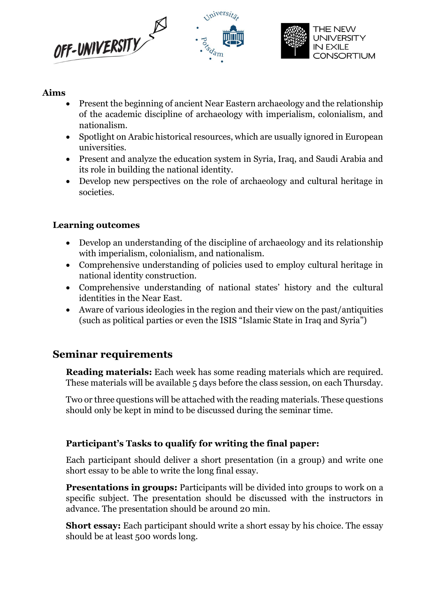





# Aims

- Present the beginning of ancient Near Eastern archaeology and the relationship of the academic discipline of archaeology with imperialism, colonialism, and nationalism.
- Spotlight on Arabic historical resources, which are usually ignored in European universities.
- Present and analyze the education system in Syria, Iraq, and Saudi Arabia and its role in building the national identity.
- Develop new perspectives on the role of archaeology and cultural heritage in societies.

# Learning outcomes

- Develop an understanding of the discipline of archaeology and its relationship with imperialism, colonialism, and nationalism.
- Comprehensive understanding of policies used to employ cultural heritage in national identity construction.
- Comprehensive understanding of national states' history and the cultural identities in the Near East.
- Aware of various ideologies in the region and their view on the past/antiquities (such as political parties or even the ISIS "Islamic State in Iraq and Syria")

# Seminar requirements

Reading materials: Each week has some reading materials which are required. These materials will be available 5 days before the class session, on each Thursday.

Two or three questions will be attached with the reading materials. These questions should only be kept in mind to be discussed during the seminar time.

# Participant's Tasks to qualify for writing the final paper:

Each participant should deliver a short presentation (in a group) and write one short essay to be able to write the long final essay.

**Presentations in groups:** Participants will be divided into groups to work on a specific subject. The presentation should be discussed with the instructors in advance. The presentation should be around 20 min.

Short essay: Each participant should write a short essay by his choice. The essay should be at least 500 words long.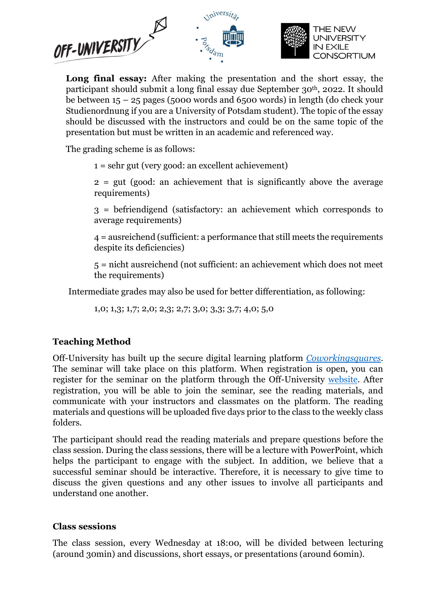

Long final essay: After making the presentation and the short essay, the participant should submit a long final essay due September 30th, 2022. It should be between 15 – 25 pages (5000 words and 6500 words) in length (do check your Studienordnung if you are a University of Potsdam student). The topic of the essay should be discussed with the instructors and could be on the same topic of the presentation but must be written in an academic and referenced way.

The grading scheme is as follows:

 $1 =$  sehr gut (very good: an excellent achievement)

2 = gut (good: an achievement that is significantly above the average requirements)

3 = befriendigend (satisfactory: an achievement which corresponds to average requirements)

4 = ausreichend (sufficient: a performance that still meets the requirements despite its deficiencies)

5 = nicht ausreichend (not sufficient: an achievement which does not meet the requirements)

Intermediate grades may also be used for better differentiation, as following:

1,0; 1,3; 1,7; 2,0; 2,3; 2,7; 3,0; 3,3; 3,7; 4,0; 5,0

# Teaching Method

Off-University has built up the secure digital learning platform Coworkingsquares. The seminar will take place on this platform. When registration is open, you can register for the seminar on the platform through the Off-University website. After registration, you will be able to join the seminar, see the reading materials, and communicate with your instructors and classmates on the platform. The reading materials and questions will be uploaded five days prior to the class to the weekly class folders.

The participant should read the reading materials and prepare questions before the class session. During the class sessions, there will be a lecture with PowerPoint, which helps the participant to engage with the subject. In addition, we believe that a successful seminar should be interactive. Therefore, it is necessary to give time to discuss the given questions and any other issues to involve all participants and understand one another.

# Class sessions

The class session, every Wednesday at 18:00, will be divided between lecturing (around 30min) and discussions, short essays, or presentations (around 60min).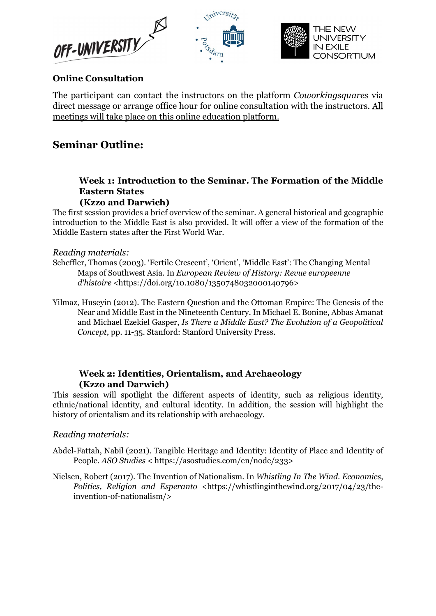



# Online Consultation

The participant can contact the instructors on the platform Coworkingsquares via direct message or arrange office hour for online consultation with the instructors. All meetings will take place on this online education platform.

inivers

# Seminar Outline:

### Week 1: Introduction to the Seminar. The Formation of the Middle Eastern States (Kzzo and Darwich)

The first session provides a brief overview of the seminar. A general historical and geographic introduction to the Middle East is also provided. It will offer a view of the formation of the Middle Eastern states after the First World War.

### Reading materials:

- Scheffler, Thomas (2003). 'Fertile Crescent', 'Orient', 'Middle East': The Changing Mental Maps of Southwest Asia. In European Review of History: Revue europeenne d'histoire <https://doi.org/10.1080/1350748032000140796>
- Yilmaz, Huseyin (2012). The Eastern Question and the Ottoman Empire: The Genesis of the Near and Middle East in the Nineteenth Century. In Michael E. Bonine, Abbas Amanat and Michael Ezekiel Gasper, Is There a Middle East? The Evolution of a Geopolitical Concept, pp. 11-35. Stanford: Stanford University Press.

### Week 2: Identities, Orientalism, and Archaeology (Kzzo and Darwich)

This session will spotlight the different aspects of identity, such as religious identity, ethnic/national identity, and cultural identity. In addition, the session will highlight the history of orientalism and its relationship with archaeology.

### Reading materials:

- Abdel-Fattah, Nabil (2021). Tangible Heritage and Identity: Identity of Place and Identity of People. ASO Studies < https://asostudies.com/en/node/233>
- Nielsen, Robert (2017). The Invention of Nationalism. In Whistling In The Wind. Economics, Politics, Religion and Esperanto <https://whistlinginthewind.org/2017/04/23/theinvention-of-nationalism/>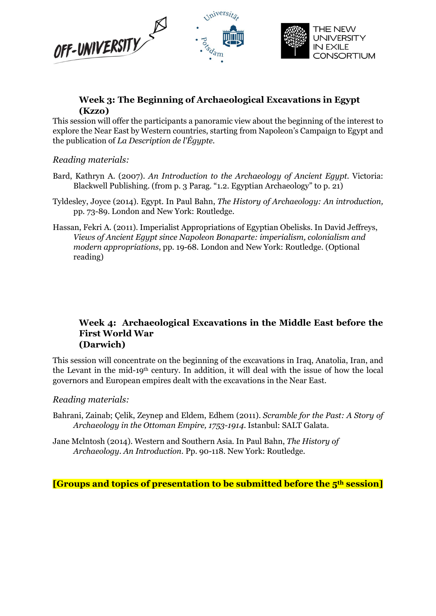

### Week 3: The Beginning of Archaeological Excavations in Egypt (Kzzo)

This session will offer the participants a panoramic view about the beginning of the interest to explore the Near East by Western countries, starting from Napoleon's Campaign to Egypt and the publication of La Description de l'Égypte.

### Reading materials:

- Bard, Kathryn A. (2007). An Introduction to the Archaeology of Ancient Egypt. Victoria: Blackwell Publishing. (from p. 3 Parag. "1.2. Egyptian Archaeology" to p. 21)
- Tyldesley, Joyce (2014). Egypt. In Paul Bahn, The History of Archaeology: An introduction, pp. 73-89. London and New York: Routledge.
- Hassan, Fekri A. (2011). Imperialist Appropriations of Egyptian Obelisks. In David Jeffreys, Views of Ancient Egypt since Napoleon Bonaparte: imperialism, colonialism and modern appropriations, pp. 19-68. London and New York: Routledge. (Optional reading)

### Week 4: Archaeological Excavations in the Middle East before the First World War (Darwich)

This session will concentrate on the beginning of the excavations in Iraq, Anatolia, Iran, and the Levant in the mid-19th century. In addition, it will deal with the issue of how the local governors and European empires dealt with the excavations in the Near East.

### Reading materials:

Bahrani, Zainab; Çelik, Zeynep and Eldem, Edhem (2011). Scramble for the Past: A Story of Archaeology in the Ottoman Empire, 1753-1914. Istanbul: SALT Galata.

Jane Mclntosh (2014). Western and Southern Asia. In Paul Bahn, The History of Archaeology. An Introduction. Pp. 90-118. New York: Routledge.

[Groups and topics of presentation to be submitted before the 5th session]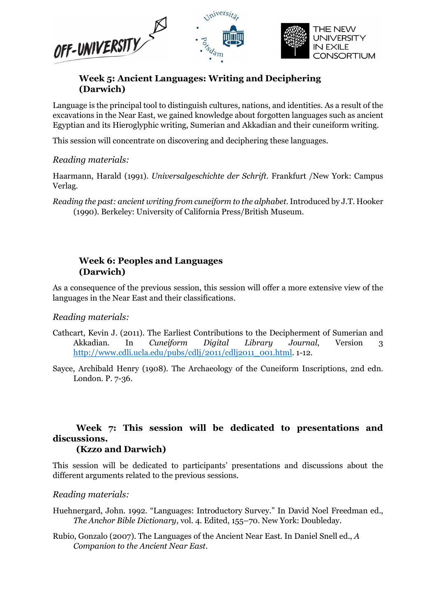

### Week 5: Ancient Languages: Writing and Deciphering (Darwich)

Language is the principal tool to distinguish cultures, nations, and identities. As a result of the excavations in the Near East, we gained knowledge about forgotten languages such as ancient Egyptian and its Hieroglyphic writing, Sumerian and Akkadian and their cuneiform writing.

This session will concentrate on discovering and deciphering these languages.

### Reading materials:

Haarmann, Harald (1991). Universalgeschichte der Schrift. Frankfurt /New York: Campus Verlag.

Reading the past: ancient writing from cuneiform to the alphabet. Introduced by J.T. Hooker (1990). Berkeley: University of California Press/British Museum.

### Week 6: Peoples and Languages (Darwich)

As a consequence of the previous session, this session will offer a more extensive view of the languages in the Near East and their classifications.

### Reading materials:

- Cathcart, Kevin J. (2011). The Earliest Contributions to the Decipherment of Sumerian and Akkadian. In Cuneiform Digital Library Journal, Version 3 http://www.cdli.ucla.edu/pubs/cdlj/2011/cdlj2011\_001.html. 1-12.
- Sayce, Archibald Henry (1908). The Archaeology of the Cuneiform Inscriptions, 2nd edn. London. P. 7-36.

# Week 7: This session will be dedicated to presentations and discussions.

#### (Kzzo and Darwich)

This session will be dedicated to participants' presentations and discussions about the different arguments related to the previous sessions.

### Reading materials:

- Huehnergard, John. 1992. "Languages: Introductory Survey." In David Noel Freedman ed., The Anchor Bible Dictionary, vol. 4. Edited, 155–70. New York: Doubleday.
- Rubio, Gonzalo (2007). The Languages of the Ancient Near East. In Daniel Snell ed., A Companion to the Ancient Near East.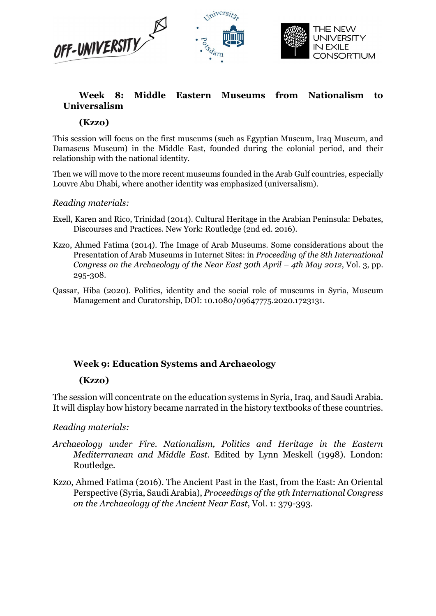

# Week 8: Middle Eastern Museums from Nationalism to Universalism

### (Kzzo)

This session will focus on the first museums (such as Egyptian Museum, Iraq Museum, and Damascus Museum) in the Middle East, founded during the colonial period, and their relationship with the national identity.

Then we will move to the more recent museums founded in the Arab Gulf countries, especially Louvre Abu Dhabi, where another identity was emphasized (universalism).

### Reading materials:

- Exell, Karen and Rico, Trinidad (2014). Cultural Heritage in the Arabian Peninsula: Debates, Discourses and Practices. New York: Routledge (2nd ed. 2016).
- Kzzo, Ahmed Fatima (2014). The Image of Arab Museums. Some considerations about the Presentation of Arab Museums in Internet Sites: in Proceeding of the 8th International Congress on the Archaeology of the Near East 30th April – 4th May 2012, Vol. 3, pp. 295-308.
- Qassar, Hiba (2020). Politics, identity and the social role of museums in Syria, Museum Management and Curatorship, DOI: 10.1080/09647775.2020.1723131.

### Week 9: Education Systems and Archaeology

### (Kzzo)

The session will concentrate on the education systems in Syria, Iraq, and Saudi Arabia. It will display how history became narrated in the history textbooks of these countries.

Reading materials:

- Archaeology under Fire. Nationalism, Politics and Heritage in the Eastern Mediterranean and Middle East. Edited by Lynn Meskell (1998). London: Routledge.
- Kzzo, Ahmed Fatima (2016). The Ancient Past in the East, from the East: An Oriental Perspective (Syria, Saudi Arabia), Proceedings of the 9th International Congress on the Archaeology of the Ancient Near East, Vol. 1: 379-393.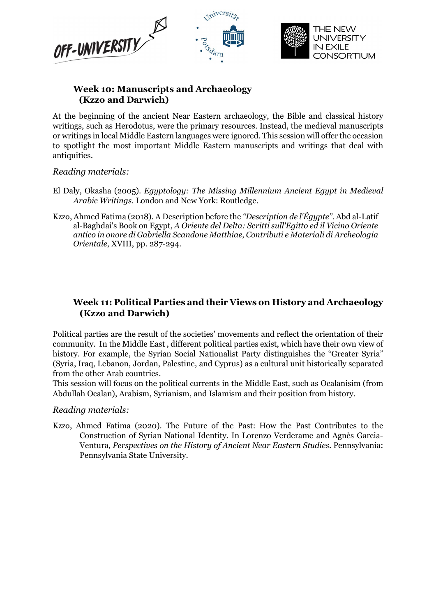



# Week 10: Manuscripts and Archaeology (Kzzo and Darwich)

At the beginning of the ancient Near Eastern archaeology, the Bible and classical history writings, such as Herodotus, were the primary resources. Instead, the medieval manuscripts or writings in local Middle Eastern languages were ignored. This session will offer the occasion to spotlight the most important Middle Eastern manuscripts and writings that deal with antiquities.

### Reading materials:

- El Daly, Okasha (2005). Egyptology: The Missing Millennium Ancient Egypt in Medieval Arabic Writings. London and New York: Routledge.
- Kzzo, Ahmed Fatima (2018). A Description before the "Description de l'Égypte". Abd al-Latif al-Baghdai's Book on Egypt, A Oriente del Delta: Scritti sull'Egitto ed il Vicino Oriente antico in onore di Gabriella Scandone Matthiae, Contributi e Materiali di Archeologia Orientale, XVIII, pp. 287-294.

# Week 11: Political Parties and their Views on History and Archaeology (Kzzo and Darwich)

Political parties are the result of the societies' movements and reflect the orientation of their community. In the Middle East , different political parties exist, which have their own view of history. For example, the Syrian Social Nationalist Party distinguishes the "Greater Syria" (Syria, Iraq, Lebanon, Jordan, Palestine, and Cyprus) as a cultural unit historically separated from the other Arab countries.

This session will focus on the political currents in the Middle East, such as Ocalanisim (from Abdullah Ocalan), Arabism, Syrianism, and Islamism and their position from history.

#### Reading materials:

Kzzo, Ahmed Fatima (2020). The Future of the Past: How the Past Contributes to the Construction of Syrian National Identity. In Lorenzo Verderame and Agnès Garcia-Ventura, Perspectives on the History of Ancient Near Eastern Studies. Pennsylvania: Pennsylvania State University.